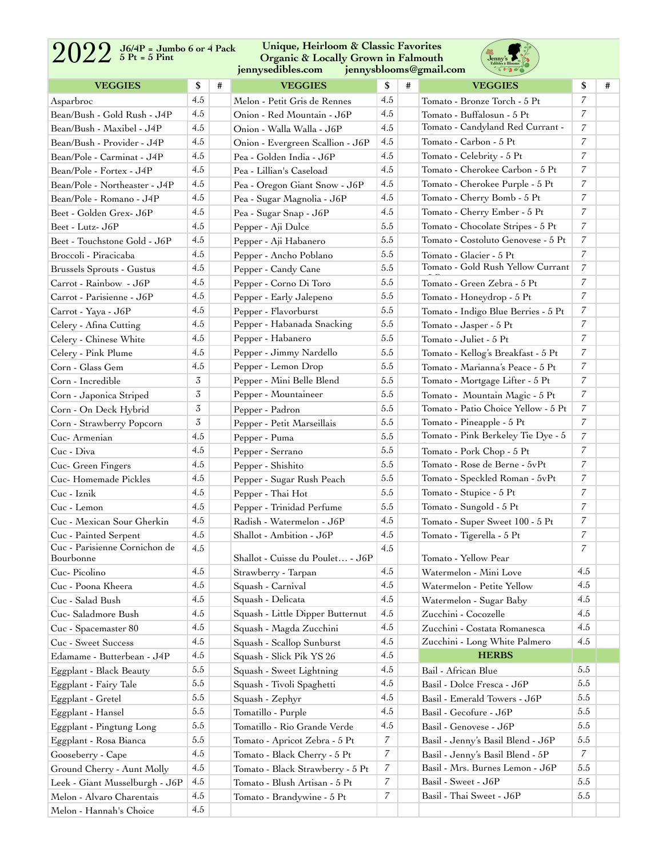## 2022 **5 Pt = 5 Pint**

**Unique, Heirloom & Classic Favorites Organic & Locally Grown in Falmouth [jennysedibles.com](http://jennysedibles.com) [jennysblooms@gmail.com](mailto:jennysblooms@gmail.com)**



| <b>VEGGIES</b>                                         | \$  | # | <b>VEGGIES</b>                   | \$             | # | <b>VEGGIES</b>                                             | \$               | # |
|--------------------------------------------------------|-----|---|----------------------------------|----------------|---|------------------------------------------------------------|------------------|---|
| Asparbroc                                              | 4.5 |   | Melon - Petit Gris de Rennes     | 4.5            |   | Tomato - Bronze Torch - 5 Pt                               | $\overline{7}$   |   |
| Bean/Bush - Gold Rush - J4P                            | 4.5 |   | Onion - Red Mountain - J6P       | 4.5            |   | Tomato - Buffalosun - 5 Pt                                 | $\overline{7}$   |   |
| Bean/Bush - Maxibel - J4P                              | 4.5 |   | Onion - Walla Walla - J6P        | 4.5            |   | Tomato - Candyland Red Currant -                           | $\overline{7}$   |   |
| Bean/Bush - Provider - J4P                             | 4.5 |   | Onion - Evergreen Scallion - J6P | 4.5            |   | Tomato - Carbon - 5 Pt                                     | $\overline{7}$   |   |
| Bean/Pole - Carminat - J4P                             | 4.5 |   | Pea - Golden India - J6P         | 4.5            |   | Tomato - Celebrity - 5 Pt                                  | $\overline{7}$   |   |
| Bean/Pole - Fortex - J4P                               | 4.5 |   | Pea - Lillian's Caseload         | 4.5            |   | Tomato - Cherokee Carbon - 5 Pt                            | 7                |   |
| Bean/Pole - Northeaster - J4P                          | 4.5 |   | Pea - Oregon Giant Snow - J6P    | 4.5            |   | Tomato - Cherokee Purple - 5 Pt                            | $\overline{7}$   |   |
| Bean/Pole - Romano - J4P                               | 4.5 |   | Pea - Sugar Magnolia - J6P       | 4.5            |   | Tomato - Cherry Bomb - 5 Pt                                | $\overline{7}$   |   |
| Beet - Golden Grex- J6P                                | 4.5 |   | Pea - Sugar Snap - J6P           | 4.5            |   | Tomato - Cherry Ember - 5 Pt                               | $\overline{7}$   |   |
| Beet - Lutz- J6P                                       | 4.5 |   | Pepper - Aji Dulce               | 5.5            |   | Tomato - Chocolate Stripes - 5 Pt                          | 7                |   |
| Beet - Touchstone Gold - J6P                           | 4.5 |   | Pepper - Aji Habanero            | 5.5            |   | Tomato - Costoluto Genovese - 5 Pt                         | 7                |   |
| Broccoli - Piracicaba                                  | 4.5 |   | Pepper - Ancho Poblano           | 5.5            |   | Tomato - Glacier - 5 Pt                                    | $\overline{7}$   |   |
| Brussels Sprouts - Gustus                              | 4.5 |   | Pepper - Candy Cane              | 5.5            |   | Tomato - Gold Rush Yellow Currant                          | $\overline{7}$   |   |
| Carrot - Rainbow - J6P                                 | 4.5 |   | Pepper - Corno Di Toro           | 5.5            |   | Tomato - Green Zebra - 5 Pt                                | $\overline{7}$   |   |
| Carrot - Parisienne - J6P                              | 4.5 |   | Pepper - Early Jalepeno          | 5.5            |   | Tomato - Honeydrop - 5 Pt                                  | $\overline{7}$   |   |
| Carrot - Yaya - J6P                                    | 4.5 |   | Pepper - Flavorburst             | 5.5            |   | Tomato - Indigo Blue Berries - 5 Pt                        | 7                |   |
| Celery - Afina Cutting                                 | 4.5 |   | Pepper - Habanada Snacking       | 5.5            |   | Tomato - Jasper - 5 Pt                                     | $\overline{7}$   |   |
| Celery - Chinese White                                 | 4.5 |   | Pepper - Habanero                | 5.5            |   | Tomato - Juliet - 5 Pt                                     | $\overline{7}$   |   |
| Celery - Pink Plume                                    | 4.5 |   | Pepper - Jimmy Nardello          | 5.5            |   | Tomato - Kellog's Breakfast - 5 Pt                         | $\overline{7}$   |   |
| Corn - Glass Gem                                       | 4.5 |   | Pepper - Lemon Drop              | 5.5            |   | Tomato - Marianna's Peace - 5 Pt                           | $\overline{7}$   |   |
| Corn - Incredible                                      | 3   |   | Pepper - Mini Belle Blend        | 5.5            |   | Tomato - Mortgage Lifter - 5 Pt                            | $\overline{7}$   |   |
| Corn - Japonica Striped                                | 3   |   | Pepper - Mountaineer             | 5.5            |   | Tomato - Mountain Magic - 5 Pt                             | $\overline{7}$   |   |
| Corn - On Deck Hybrid                                  | 3   |   | Pepper - Padron                  | 5.5            |   | Tomato - Patio Choice Yellow - 5 Pt                        | $\overline{7}$   |   |
| Corn - Strawberry Popcorn                              | 3   |   | Pepper - Petit Marseillais       | 5.5            |   | Tomato - Pineapple - 5 Pt                                  | $\overline{7}$   |   |
| Cuc-Armenian                                           | 4.5 |   |                                  | 5.5            |   | Tomato - Pink Berkeley Tie Dye - 5                         | $\overline{7}$   |   |
| Cuc - Diva                                             | 4.5 |   | Pepper - Puma                    | 5.5            |   |                                                            | $\overline{7}$   |   |
|                                                        | 4.5 |   | Pepper - Serrano                 | 5.5            |   | Tomato - Pork Chop - 5 Pt<br>Tomato - Rose de Berne - 5vPt | $\overline{7}$   |   |
| Cuc- Green Fingers                                     | 4.5 |   | Pepper - Shishito                | 5.5            |   | Tomato - Speckled Roman - 5vPt                             | 7                |   |
| Cuc-Homemade Pickles                                   | 4.5 |   | Pepper - Sugar Rush Peach        | 5.5            |   |                                                            | $\overline{7}$   |   |
| Cuc - Iznik                                            | 4.5 |   | Pepper - Thai Hot                | 5.5            |   | Tomato - Stupice - 5 Pt                                    | $\boldsymbol{7}$ |   |
| Cuc - Lemon                                            | 4.5 |   | Pepper - Trinidad Perfume        |                |   | Tomato - Sungold - 5 Pt                                    | 7                |   |
| Cuc - Mexican Sour Gherkin                             | 4.5 |   | Radish - Watermelon - J6P        | 4.5<br>4.5     |   | Tomato - Super Sweet 100 - 5 Pt                            | $\overline{7}$   |   |
| Cuc - Painted Serpent<br>Cuc - Parisienne Cornichon de |     |   | Shallot - Ambition - J6P         |                |   | Tomato - Tigerella - 5 Pt                                  |                  |   |
| Bourbonne                                              | 4.5 |   | Shallot - Cuisse du Poulet - J6P | 4.5            |   | Tomato - Yellow Pear                                       | $\overline{7}$   |   |
| Cuc-Picolino                                           | 4.5 |   | Strawberry - Tarpan              | 4.5            |   | Watermelon - Mini Love                                     | 4.5              |   |
| Cuc - Poona Kheera                                     | 4.5 |   | Squash - Carnival                | 4.5            |   | Watermelon - Petite Yellow                                 | 4.5              |   |
| Cuc - Salad Bush                                       | 4.5 |   | Squash - Delicata                | 4.5            |   | Watermelon - Sugar Baby                                    | 4.5              |   |
| Cuc- Saladmore Bush                                    | 4.5 |   | Squash - Little Dipper Butternut | 4.5            |   | Zucchini - Cocozelle                                       | 4.5              |   |
| Cuc - Spacemaster 80                                   | 4.5 |   | Squash - Magda Zucchini          | 4.5            |   | Zucchini - Costata Romanesca                               | 4.5              |   |
| Cuc - Sweet Success                                    | 4.5 |   | Squash - Scallop Sunburst        | 4.5            |   | Zucchini - Long White Palmero                              | 4.5              |   |
| Edamame - Butterbean - J4P                             | 4.5 |   | Squash - Slick Pik YS 26         | 4.5            |   | <b>HERBS</b>                                               |                  |   |
| Eggplant - Black Beauty                                | 5.5 |   | Squash - Sweet Lightning         | 4.5            |   | Bail - African Blue                                        | 5.5              |   |
| Eggplant - Fairy Tale                                  | 5.5 |   | Squash - Tivoli Spaghetti        | 4.5            |   | Basil - Dolce Fresca - J6P                                 | 5.5              |   |
| Eggplant - Gretel                                      | 5.5 |   | Squash - Zephyr                  | 4.5            |   | Basil - Emerald Towers - J6P                               | 5.5              |   |
| Eggplant - Hansel                                      | 5.5 |   | Tomatillo - Purple               | 4.5            |   | Basil - Gecofure - J6P                                     | 5.5              |   |
| Eggplant - Pingtung Long                               | 5.5 |   | Tomatillo - Rio Grande Verde     | 4.5            |   | Basil - Genovese - J6P                                     | 5.5              |   |
| Eggplant - Rosa Bianca                                 | 5.5 |   | Tomato - Apricot Zebra - 5 Pt    | 7              |   | Basil - Jenny's Basil Blend - J6P                          | 5.5              |   |
| Gooseberry - Cape                                      | 4.5 |   | Tomato - Black Cherry - 5 Pt     | 7              |   | Basil - Jenny's Basil Blend - 5P                           | 7                |   |
| Ground Cherry - Aunt Molly                             | 4.5 |   | Tomato - Black Strawberry - 5 Pt | $\overline{7}$ |   | Basil - Mrs. Burnes Lemon - J6P                            | 5.5              |   |
| Leek - Giant Musselburgh - J6P                         | 4.5 |   | Tomato - Blush Artisan - 5 Pt    | 7              |   | Basil - Sweet - J6P                                        | 5.5              |   |
| Melon - Alvaro Charentais                              | 4.5 |   | Tomato - Brandywine - 5 Pt       | 7              |   | Basil - Thai Sweet - J6P                                   | 5.5              |   |
| Melon - Hannah's Choice                                | 4.5 |   |                                  |                |   |                                                            |                  |   |
|                                                        |     |   |                                  |                |   |                                                            |                  |   |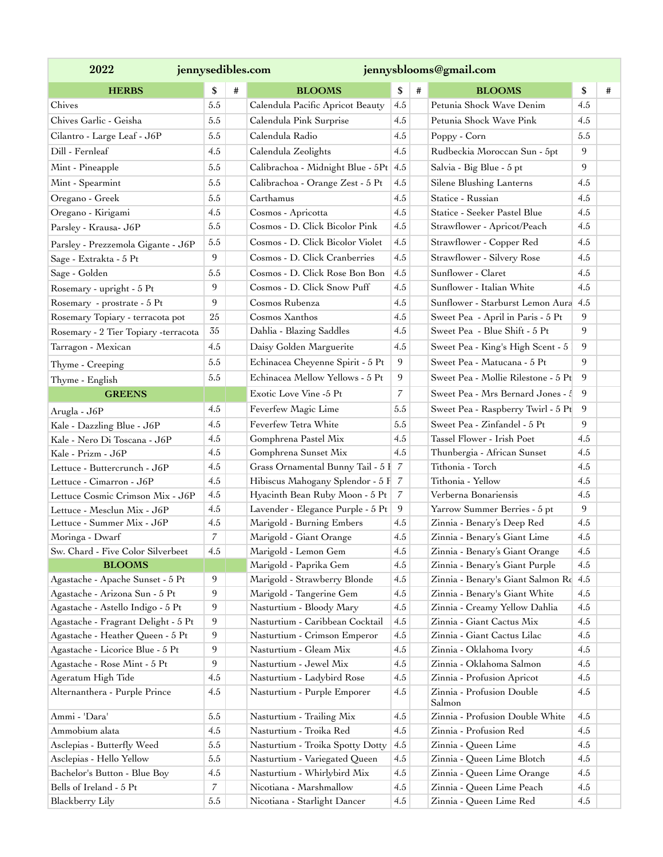| 2022                                                         |                | jennysedibles.com<br>jennysblooms@gmail.com |                                       |                |   |                                                                    |        |   |
|--------------------------------------------------------------|----------------|---------------------------------------------|---------------------------------------|----------------|---|--------------------------------------------------------------------|--------|---|
| <b>HERBS</b>                                                 | \$             | #                                           | <b>BLOOMS</b>                         | \$             | # | <b>BLOOMS</b>                                                      | \$     | # |
| Chives                                                       | 5.5            |                                             | Calendula Pacific Apricot Beauty      | 4.5            |   | Petunia Shock Wave Denim                                           | 4.5    |   |
| Chives Garlic - Geisha                                       | 5.5            |                                             | Calendula Pink Surprise               | 4.5            |   | Petunia Shock Wave Pink                                            | 4.5    |   |
| Cilantro - Large Leaf - J6P                                  | 5.5            |                                             | Calendula Radio                       | 4.5            |   | Poppy - Corn                                                       | 5.5    |   |
| Dill - Fernleaf                                              | 4.5            |                                             | Calendula Zeolights                   | 4.5            |   | Rudbeckia Moroccan Sun - 5pt                                       | 9      |   |
| Mint - Pineapple                                             | 5.5            |                                             | Calibrachoa - Midnight Blue - 5Pt 4.5 |                |   | Salvia - Big Blue - 5 pt                                           | 9      |   |
| Mint - Spearmint                                             | 5.5            |                                             | Calibrachoa - Orange Zest - 5 Pt      | 4.5            |   | Silene Blushing Lanterns                                           | 4.5    |   |
| Oregano - Greek                                              | 5.5            |                                             | Carthamus                             | 4.5            |   | Statice - Russian                                                  | 4.5    |   |
| Oregano - Kirigami                                           | 4.5            |                                             | Cosmos - Apricotta                    | 4.5            |   | Statice - Seeker Pastel Blue                                       | 4.5    |   |
| Parsley - Krausa- J6P                                        | 5.5            |                                             | Cosmos - D. Click Bicolor Pink        | 4.5            |   | Strawflower - Apricot/Peach                                        | 4.5    |   |
|                                                              | 5.5            |                                             | Cosmos - D. Click Bicolor Violet      | 4.5            |   | Strawflower - Copper Red                                           | 4.5    |   |
| Parsley - Prezzemola Gigante - J6P<br>Sage - Extrakta - 5 Pt | 9              |                                             | Cosmos - D. Click Cranberries         | 4.5            |   | Strawflower - Silvery Rose                                         | 4.5    |   |
|                                                              | 5.5            |                                             | Cosmos - D. Click Rose Bon Bon        | 4.5            |   | Sunflower - Claret                                                 | 4.5    |   |
| Sage - Golden                                                | 9              |                                             | Cosmos - D. Click Snow Puff           | 4.5            |   | Sunflower - Italian White                                          | 4.5    |   |
| Rosemary - upright - 5 Pt                                    | 9              |                                             | Cosmos Rubenza                        |                |   | Sunflower - Starburst Lemon Aura 4.5                               |        |   |
| Rosemary - prostrate - 5 Pt                                  |                |                                             |                                       | 4.5<br>4.5     |   |                                                                    |        |   |
| Rosemary Topiary - terracota pot                             | 25             |                                             | Cosmos Xanthos                        |                |   | Sweet Pea - April in Paris - 5 Pt<br>Sweet Pea - Blue Shift - 5 Pt | 9<br>9 |   |
| Rosemary - 2 Tier Topiary -terracota                         | 35             |                                             | Dahlia - Blazing Saddles              | 4.5            |   |                                                                    |        |   |
| Tarragon - Mexican                                           | 4.5            |                                             | Daisy Golden Marguerite               | 4.5            |   | Sweet Pea - King's High Scent - 5                                  | 9      |   |
| Thyme - Creeping                                             | 5.5            |                                             | Echinacea Cheyenne Spirit - 5 Pt      | 9              |   | Sweet Pea - Matucana - 5 Pt                                        | 9      |   |
| Thyme - English                                              | 5.5            |                                             | Echinacea Mellow Yellows - 5 Pt       | 9              |   | Sweet Pea - Mollie Rilestone - 5 Pt                                | 9      |   |
| <b>GREENS</b>                                                |                |                                             | Exotic Love Vine -5 Pt                | $\overline{7}$ |   | Sweet Pea - Mrs Bernard Jones - 4                                  | 9      |   |
| Arugla - J6P                                                 | 4.5            |                                             | Feverfew Magic Lime                   | 5.5            |   | Sweet Pea - Raspberry Twirl - 5 Pt                                 | 9      |   |
| Kale - Dazzling Blue - J6P                                   | 4.5            |                                             | Feverfew Tetra White                  | 5.5            |   | Sweet Pea - Zinfandel - 5 Pt                                       | 9      |   |
| Kale - Nero Di Toscana - J6P                                 | 4.5            |                                             | Gomphrena Pastel Mix                  | 4.5            |   | Tassel Flower - Irish Poet                                         | 4.5    |   |
| Kale - Prizm - J6P                                           | 4.5            |                                             | Gomphrena Sunset Mix                  | 4.5            |   | Thunbergia - African Sunset                                        | 4.5    |   |
| Lettuce - Buttercrunch - J6P                                 | 4.5            |                                             | Grass Ornamental Bunny Tail - 5 I 7   |                |   | Tithonia - Torch                                                   | 4.5    |   |
| Lettuce - Cimarron - J6P                                     | 4.5            |                                             | Hibiscus Mahogany Splendor - 5 F 7    |                |   | Tithonia - Yellow                                                  | 4.5    |   |
| Lettuce Cosmic Crimson Mix - J6P                             | 4.5            |                                             | Hyacinth Bean Ruby Moon - 5 Pt        | $\overline{7}$ |   | Verberna Bonariensis                                               | 4.5    |   |
| Lettuce - Mesclun Mix - J6P                                  | 4.5            |                                             | Lavender - Elegance Purple - 5 Pt     | 9              |   | Yarrow Summer Berries - 5 pt                                       | 9      |   |
| Lettuce - Summer Mix - J6P                                   | 4.5            |                                             | Marigold - Burning Embers             | 4.5            |   | Zinnia - Benary's Deep Red                                         | 4.5    |   |
| Moringa - Dwarf                                              | $\overline{7}$ |                                             | Marigold - Giant Orange               | 4.5            |   | Zinnia - Benary's Giant Lime                                       | 4.5    |   |
| Sw. Chard - Five Color Silverbeet                            | 4.5            |                                             | Marigold - Lemon Gem                  | 4.5            |   | Zinnia - Benary's Giant Orange                                     | 4.5    |   |
| <b>BLOOMS</b>                                                |                |                                             | Marigold - Paprika Gem                | 4.5            |   | Zinnia - Benary's Giant Purple                                     | 4.5    |   |
| Agastache - Apache Sunset - 5 Pt                             | 9              |                                             | Marigold - Strawberry Blonde          | 4.5            |   | Zinnia - Benary's Giant Salmon Rc 4.5                              |        |   |
| Agastache - Arizona Sun - 5 Pt                               | 9              |                                             | Marigold - Tangerine Gem              | 4.5            |   | Zinnia - Benary's Giant White                                      | 4.5    |   |
| Agastache - Astello Indigo - 5 Pt                            | 9              |                                             | Nasturtium - Bloody Mary              | 4.5            |   | Zinnia - Creamy Yellow Dahlia                                      | 4.5    |   |
| Agastache - Fragrant Delight - 5 Pt                          | 9              |                                             | Nasturtium - Caribbean Cocktail       | 4.5            |   | Zinnia - Giant Cactus Mix                                          | 4.5    |   |
| Agastache - Heather Queen - 5 Pt                             | 9              |                                             | Nasturtium - Crimson Emperor          | 4.5            |   | Zinnia - Giant Cactus Lilac                                        | 4.5    |   |
| Agastache - Licorice Blue - 5 Pt                             | 9              |                                             | Nasturtium - Gleam Mix                | 4.5            |   | Zinnia - Oklahoma Ivory                                            | 4.5    |   |
| Agastache - Rose Mint - 5 Pt                                 | 9              |                                             | Nasturtium - Jewel Mix                | 4.5            |   | Zinnia - Oklahoma Salmon                                           | 4.5    |   |
| Ageratum High Tide                                           | 4.5            |                                             | Nasturtium - Ladybird Rose            | 4.5            |   | Zinnia - Profusion Apricot                                         | 4.5    |   |
| Alternanthera - Purple Prince                                | 4.5            |                                             | Nasturtium - Purple Emporer           | 4.5            |   | Zinnia - Profusion Double<br>Salmon                                | 4.5    |   |
| Ammi - 'Dara'                                                | 5.5            |                                             | Nasturtium - Trailing Mix             | 4.5            |   | Zinnia - Profusion Double White                                    | 4.5    |   |
| Ammobium alata                                               | 4.5            |                                             | Nasturtium - Troika Red               | 4.5            |   | Zinnia - Profusion Red                                             | 4.5    |   |
| Asclepias - Butterfly Weed                                   | 5.5            |                                             | Nasturtium - Troika Spotty Dotty      | 4.5            |   | Zinnia - Queen Lime                                                | 4.5    |   |
| Asclepias - Hello Yellow                                     | $5.5\,$        |                                             | Nasturtium - Variegated Queen         | 4.5            |   | Zinnia - Queen Lime Blotch                                         | 4.5    |   |
| Bachelor's Button - Blue Boy                                 | 4.5            |                                             | Nasturtium - Whirlybird Mix           | 4.5            |   | Zinnia - Queen Lime Orange                                         | 4.5    |   |
| Bells of Ireland - 5 Pt                                      | 7              |                                             | Nicotiana - Marshmallow               | 4.5            |   | Zinnia - Queen Lime Peach                                          | 4.5    |   |
| Blackberry Lily                                              | 5.5            |                                             | Nicotiana - Starlight Dancer          | $4.5\,$        |   | Zinnia - Queen Lime Red                                            | 4.5    |   |